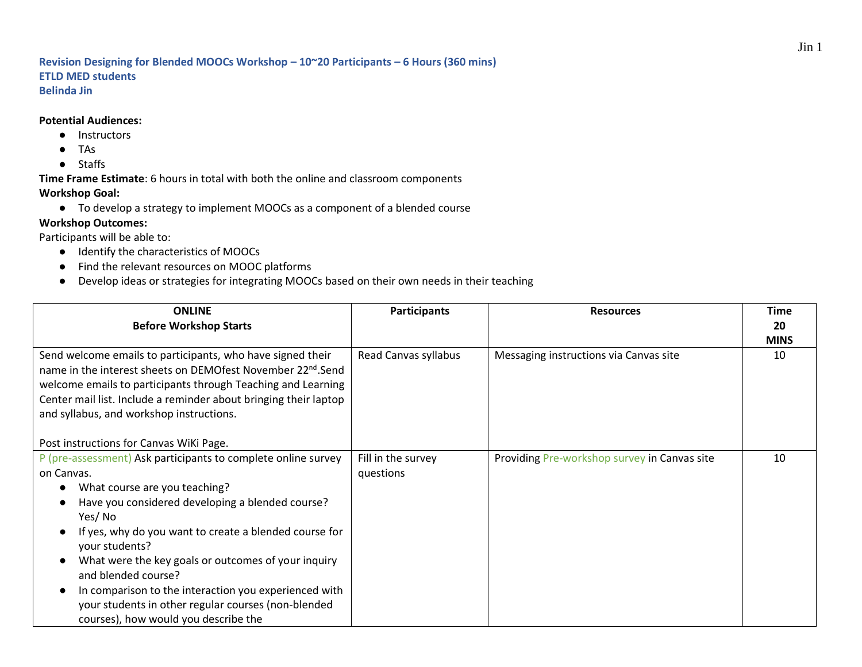## **Revision Designing for Blended MOOCs Workshop – 10~20 Participants – 6 Hours (360 mins) ETLD MED students Belinda Jin**

## **Potential Audiences:**

- Instructors
- TAs
- Staffs

**Time Frame Estimate**: 6 hours in total with both the online and classroom components **Workshop Goal:** 

● To develop a strategy to implement MOOCs as a component of a blended course

## **Workshop Outcomes:**

Participants will be able to:

- Identify the characteristics of MOOCs
- Find the relevant resources on MOOC platforms
- Develop ideas or strategies for integrating MOOCs based on their own needs in their teaching

| <b>ONLINE</b><br><b>Before Workshop Starts</b>                                                                                                                                                                                                                                                                                                                                                                                                                                               | <b>Participants</b>             | <b>Resources</b>                             | <b>Time</b><br>20 |
|----------------------------------------------------------------------------------------------------------------------------------------------------------------------------------------------------------------------------------------------------------------------------------------------------------------------------------------------------------------------------------------------------------------------------------------------------------------------------------------------|---------------------------------|----------------------------------------------|-------------------|
| Send welcome emails to participants, who have signed their<br>name in the interest sheets on DEMOfest November 22 <sup>nd</sup> .Send<br>welcome emails to participants through Teaching and Learning<br>Center mail list. Include a reminder about bringing their laptop<br>and syllabus, and workshop instructions.<br>Post instructions for Canvas WiKi Page.                                                                                                                             | Read Canvas syllabus            | Messaging instructions via Canvas site       | <b>MINS</b><br>10 |
| P (pre-assessment) Ask participants to complete online survey<br>on Canvas.<br>What course are you teaching?<br>Have you considered developing a blended course?<br>Yes/No<br>If yes, why do you want to create a blended course for<br>your students?<br>What were the key goals or outcomes of your inquiry<br>and blended course?<br>In comparison to the interaction you experienced with<br>your students in other regular courses (non-blended<br>courses), how would you describe the | Fill in the survey<br>questions | Providing Pre-workshop survey in Canvas site | 10                |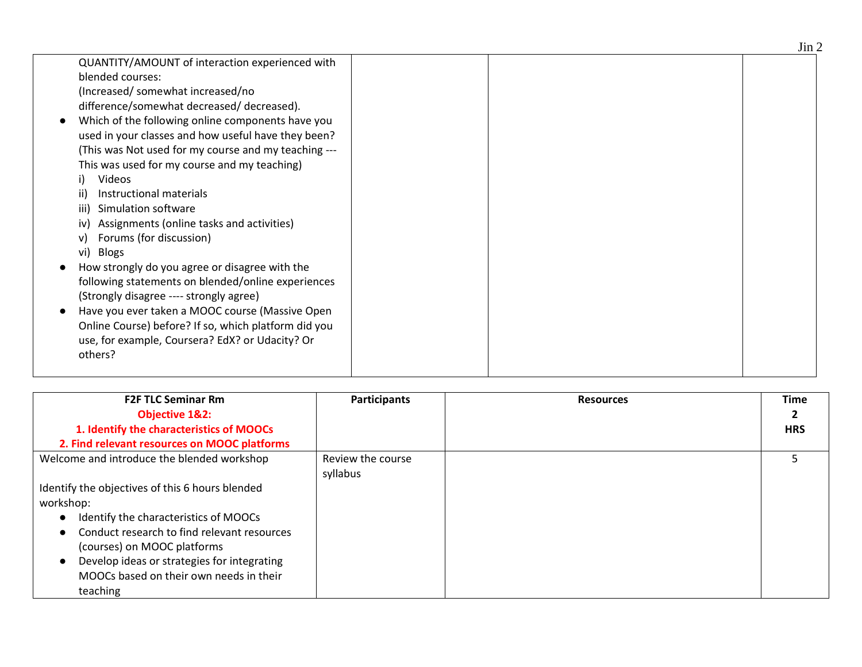|                                                      | $\mathbf{v}$ |
|------------------------------------------------------|--------------|
| QUANTITY/AMOUNT of interaction experienced with      |              |
| blended courses:                                     |              |
| (Increased/somewhat increased/no                     |              |
| difference/somewhat decreased/ decreased).           |              |
| Which of the following online components have you    |              |
| used in your classes and how useful have they been?  |              |
| (This was Not used for my course and my teaching --- |              |
| This was used for my course and my teaching)         |              |
| <b>Videos</b>                                        |              |
| Instructional materials<br>ii)                       |              |
| Simulation software<br>iii)                          |              |
| Assignments (online tasks and activities)<br>iv)     |              |
| Forums (for discussion)                              |              |
| vi) Blogs                                            |              |
| How strongly do you agree or disagree with the       |              |
| following statements on blended/online experiences   |              |
| (Strongly disagree ---- strongly agree)              |              |
| Have you ever taken a MOOC course (Massive Open      |              |
| Online Course) before? If so, which platform did you |              |
| use, for example, Coursera? EdX? or Udacity? Or      |              |
| others?                                              |              |
|                                                      |              |

| <b>F2F TLC Seminar Rm</b><br><b>Objective 1&amp;2:</b> | <b>Participants</b> | <b>Resources</b> | <b>Time</b> |
|--------------------------------------------------------|---------------------|------------------|-------------|
|                                                        |                     |                  |             |
| 1. Identify the characteristics of MOOCs               |                     |                  | <b>HRS</b>  |
| 2. Find relevant resources on MOOC platforms           |                     |                  |             |
| Welcome and introduce the blended workshop             | Review the course   |                  | 5           |
|                                                        | syllabus            |                  |             |
| Identify the objectives of this 6 hours blended        |                     |                  |             |
| workshop:                                              |                     |                  |             |
| Identify the characteristics of MOOCs                  |                     |                  |             |
| Conduct research to find relevant resources            |                     |                  |             |
| (courses) on MOOC platforms                            |                     |                  |             |
| Develop ideas or strategies for integrating            |                     |                  |             |
| MOOCs based on their own needs in their                |                     |                  |             |
| teaching                                               |                     |                  |             |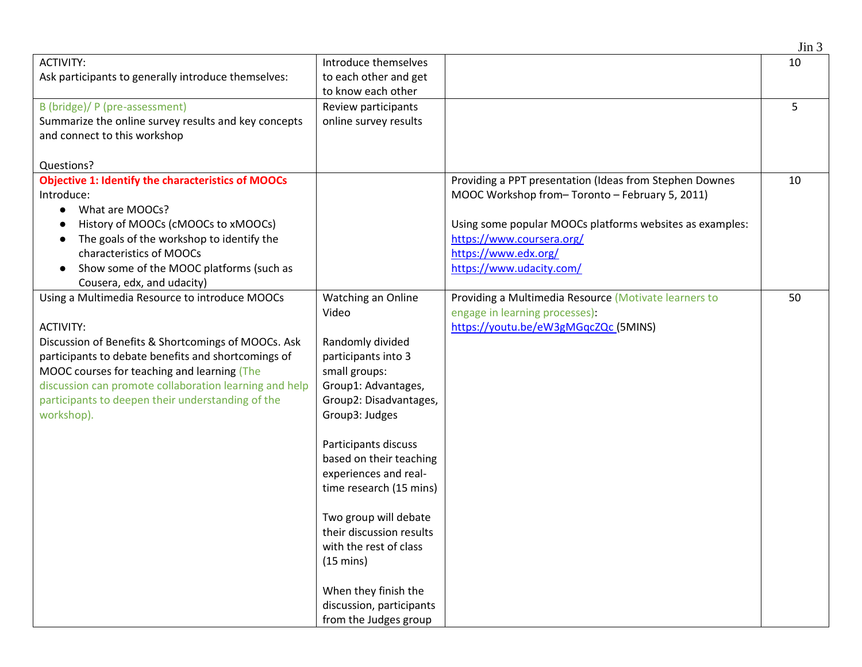|                                                           |                                                 |                                                          | Jin 3 |
|-----------------------------------------------------------|-------------------------------------------------|----------------------------------------------------------|-------|
| <b>ACTIVITY:</b>                                          | Introduce themselves                            |                                                          | 10    |
| Ask participants to generally introduce themselves:       | to each other and get                           |                                                          |       |
|                                                           | to know each other                              |                                                          |       |
| B (bridge)/ P (pre-assessment)                            | Review participants                             |                                                          | 5     |
| Summarize the online survey results and key concepts      | online survey results                           |                                                          |       |
| and connect to this workshop                              |                                                 |                                                          |       |
|                                                           |                                                 |                                                          |       |
| Questions?                                                |                                                 |                                                          |       |
| <b>Objective 1: Identify the characteristics of MOOCs</b> |                                                 | Providing a PPT presentation (Ideas from Stephen Downes  | 10    |
| Introduce:                                                |                                                 | MOOC Workshop from-Toronto - February 5, 2011)           |       |
| What are MOOCs?                                           |                                                 |                                                          |       |
| History of MOOCs (cMOOCs to xMOOCs)<br>$\bullet$          |                                                 | Using some popular MOOCs platforms websites as examples: |       |
| The goals of the workshop to identify the                 |                                                 | https://www.coursera.org/                                |       |
| characteristics of MOOCs                                  |                                                 | https://www.edx.org/                                     |       |
| Show some of the MOOC platforms (such as                  |                                                 | https://www.udacity.com/                                 |       |
| Cousera, edx, and udacity)                                |                                                 |                                                          |       |
| Using a Multimedia Resource to introduce MOOCs            | Watching an Online                              | Providing a Multimedia Resource (Motivate learners to    | 50    |
|                                                           | Video                                           | engage in learning processes):                           |       |
| <b>ACTIVITY:</b>                                          |                                                 | https://youtu.be/eW3gMGqcZQc (5MINS)                     |       |
| Discussion of Benefits & Shortcomings of MOOCs. Ask       | Randomly divided                                |                                                          |       |
| participants to debate benefits and shortcomings of       | participants into 3                             |                                                          |       |
| MOOC courses for teaching and learning (The               | small groups:                                   |                                                          |       |
| discussion can promote collaboration learning and help    | Group1: Advantages,                             |                                                          |       |
| participants to deepen their understanding of the         | Group2: Disadvantages,                          |                                                          |       |
| workshop).                                                | Group3: Judges                                  |                                                          |       |
|                                                           |                                                 |                                                          |       |
|                                                           | Participants discuss<br>based on their teaching |                                                          |       |
|                                                           | experiences and real-                           |                                                          |       |
|                                                           | time research (15 mins)                         |                                                          |       |
|                                                           |                                                 |                                                          |       |
|                                                           | Two group will debate                           |                                                          |       |
|                                                           | their discussion results                        |                                                          |       |
|                                                           | with the rest of class                          |                                                          |       |
|                                                           | $(15 \text{ mins})$                             |                                                          |       |
|                                                           |                                                 |                                                          |       |
|                                                           | When they finish the                            |                                                          |       |
|                                                           | discussion, participants                        |                                                          |       |
|                                                           | from the Judges group                           |                                                          |       |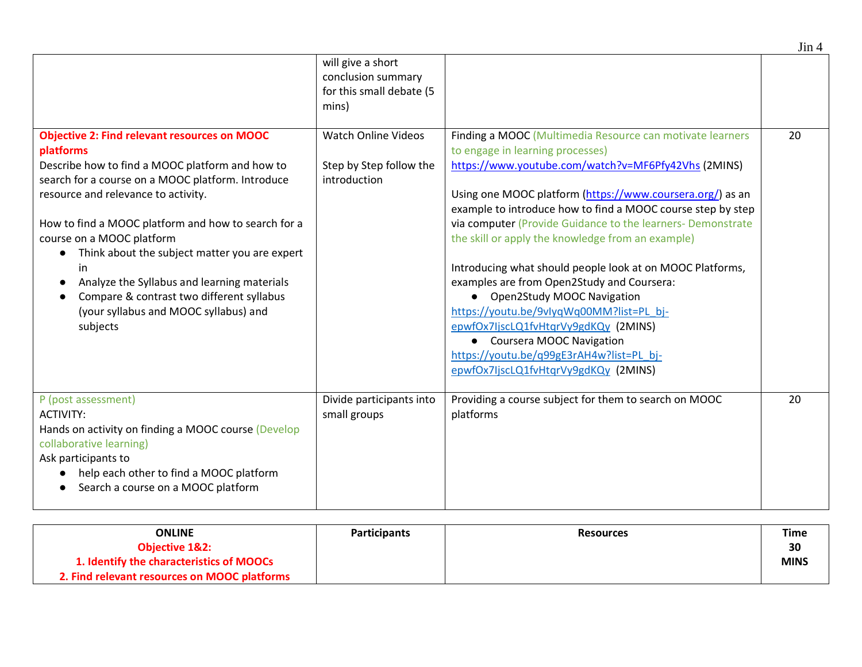|                                                                                                                                                                                                                                                                                                                                                                                                                                                                                                             | will give a short<br>conclusion summary<br>for this small debate (5<br>mins) |                                                                                                                                                                                                                                                                                                                                                                                                                                                                                                                                                                                                                                                                                                                                                                         |    |
|-------------------------------------------------------------------------------------------------------------------------------------------------------------------------------------------------------------------------------------------------------------------------------------------------------------------------------------------------------------------------------------------------------------------------------------------------------------------------------------------------------------|------------------------------------------------------------------------------|-------------------------------------------------------------------------------------------------------------------------------------------------------------------------------------------------------------------------------------------------------------------------------------------------------------------------------------------------------------------------------------------------------------------------------------------------------------------------------------------------------------------------------------------------------------------------------------------------------------------------------------------------------------------------------------------------------------------------------------------------------------------------|----|
| <b>Objective 2: Find relevant resources on MOOC</b><br>platforms<br>Describe how to find a MOOC platform and how to<br>search for a course on a MOOC platform. Introduce<br>resource and relevance to activity.<br>How to find a MOOC platform and how to search for a<br>course on a MOOC platform<br>Think about the subject matter you are expert<br>in<br>Analyze the Syllabus and learning materials<br>Compare & contrast two different syllabus<br>(your syllabus and MOOC syllabus) and<br>subjects | <b>Watch Online Videos</b><br>Step by Step follow the<br>introduction        | Finding a MOOC (Multimedia Resource can motivate learners<br>to engage in learning processes)<br>https://www.youtube.com/watch?v=MF6Pfy42Vhs (2MINS)<br>Using one MOOC platform (https://www.coursera.org/) as an<br>example to introduce how to find a MOOC course step by step<br>via computer (Provide Guidance to the learners- Demonstrate<br>the skill or apply the knowledge from an example)<br>Introducing what should people look at on MOOC Platforms,<br>examples are from Open2Study and Coursera:<br><b>Open2Study MOOC Navigation</b><br>$\bullet$<br>https://youtu.be/9vlyqWq00MM?list=PL_bj-<br>epwfOx7IjscLQ1fvHtqrVy9gdKQy (2MINS)<br>• Coursera MOOC Navigation<br>https://youtu.be/q99gE3rAH4w?list=PL bj-<br>epwfOx7IjscLQ1fvHtqrVy9gdKQy (2MINS) | 20 |
| P (post assessment)<br><b>ACTIVITY:</b><br>Hands on activity on finding a MOOC course (Develop<br>collaborative learning)<br>Ask participants to<br>help each other to find a MOOC platform<br>Search a course on a MOOC platform                                                                                                                                                                                                                                                                           | Divide participants into<br>small groups                                     | Providing a course subject for them to search on MOOC<br>platforms                                                                                                                                                                                                                                                                                                                                                                                                                                                                                                                                                                                                                                                                                                      | 20 |

| ONLINE                                       | <b>Participants</b> | <b>Resources</b> | Time        |
|----------------------------------------------|---------------------|------------------|-------------|
| <b>Objective 1&amp;2:</b>                    |                     |                  | 30          |
| 1. Identify the characteristics of MOOCs     |                     |                  | <b>MINS</b> |
| 2. Find relevant resources on MOOC platforms |                     |                  |             |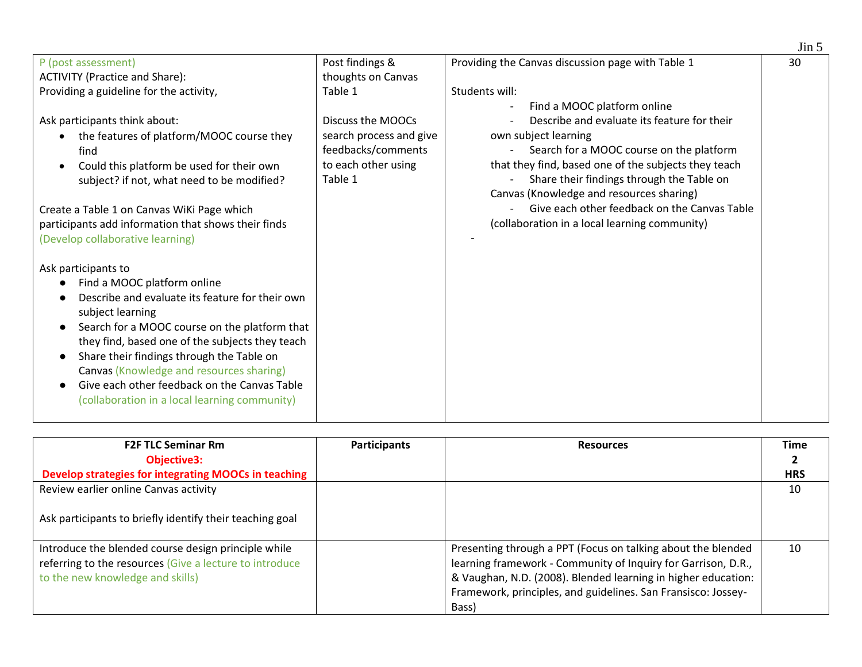|                                                        |                         |                                                      | $\text{J}$ in 5 |
|--------------------------------------------------------|-------------------------|------------------------------------------------------|-----------------|
| P (post assessment)                                    | Post findings &         | Providing the Canvas discussion page with Table 1    | 30              |
| <b>ACTIVITY (Practice and Share):</b>                  | thoughts on Canvas      |                                                      |                 |
| Providing a guideline for the activity,                | Table 1                 | Students will:                                       |                 |
|                                                        |                         | Find a MOOC platform online                          |                 |
| Ask participants think about:                          | Discuss the MOOCs       | Describe and evaluate its feature for their          |                 |
| the features of platform/MOOC course they              | search process and give | own subject learning                                 |                 |
| find                                                   | feedbacks/comments      | Search for a MOOC course on the platform             |                 |
| Could this platform be used for their own<br>$\bullet$ | to each other using     | that they find, based one of the subjects they teach |                 |
| subject? if not, what need to be modified?             | Table 1                 | Share their findings through the Table on            |                 |
|                                                        |                         | Canvas (Knowledge and resources sharing)             |                 |
| Create a Table 1 on Canvas WiKi Page which             |                         | Give each other feedback on the Canvas Table         |                 |
| participants add information that shows their finds    |                         | (collaboration in a local learning community)        |                 |
| (Develop collaborative learning)                       |                         |                                                      |                 |
|                                                        |                         |                                                      |                 |
| Ask participants to                                    |                         |                                                      |                 |
| Find a MOOC platform online                            |                         |                                                      |                 |
| Describe and evaluate its feature for their own        |                         |                                                      |                 |
| subject learning                                       |                         |                                                      |                 |
| Search for a MOOC course on the platform that          |                         |                                                      |                 |
| they find, based one of the subjects they teach        |                         |                                                      |                 |
| Share their findings through the Table on              |                         |                                                      |                 |
| Canvas (Knowledge and resources sharing)               |                         |                                                      |                 |
| Give each other feedback on the Canvas Table           |                         |                                                      |                 |
| (collaboration in a local learning community)          |                         |                                                      |                 |
|                                                        |                         |                                                      |                 |

| <b>F2F TLC Seminar Rm</b>                                                                                                                          | <b>Participants</b> | <b>Resources</b>                                                                                                                                                                                                                                                         | <b>Time</b> |
|----------------------------------------------------------------------------------------------------------------------------------------------------|---------------------|--------------------------------------------------------------------------------------------------------------------------------------------------------------------------------------------------------------------------------------------------------------------------|-------------|
| <b>Objective3:</b>                                                                                                                                 |                     |                                                                                                                                                                                                                                                                          |             |
| Develop strategies for integrating MOOCs in teaching                                                                                               |                     |                                                                                                                                                                                                                                                                          | <b>HRS</b>  |
| Review earlier online Canvas activity                                                                                                              |                     |                                                                                                                                                                                                                                                                          | 10          |
| Ask participants to briefly identify their teaching goal                                                                                           |                     |                                                                                                                                                                                                                                                                          |             |
| Introduce the blended course design principle while<br>referring to the resources (Give a lecture to introduce<br>to the new knowledge and skills) |                     | Presenting through a PPT (Focus on talking about the blended<br>learning framework - Community of Inquiry for Garrison, D.R.,<br>& Vaughan, N.D. (2008). Blended learning in higher education:<br>Framework, principles, and guidelines. San Fransisco: Jossey-<br>Bass) | 10          |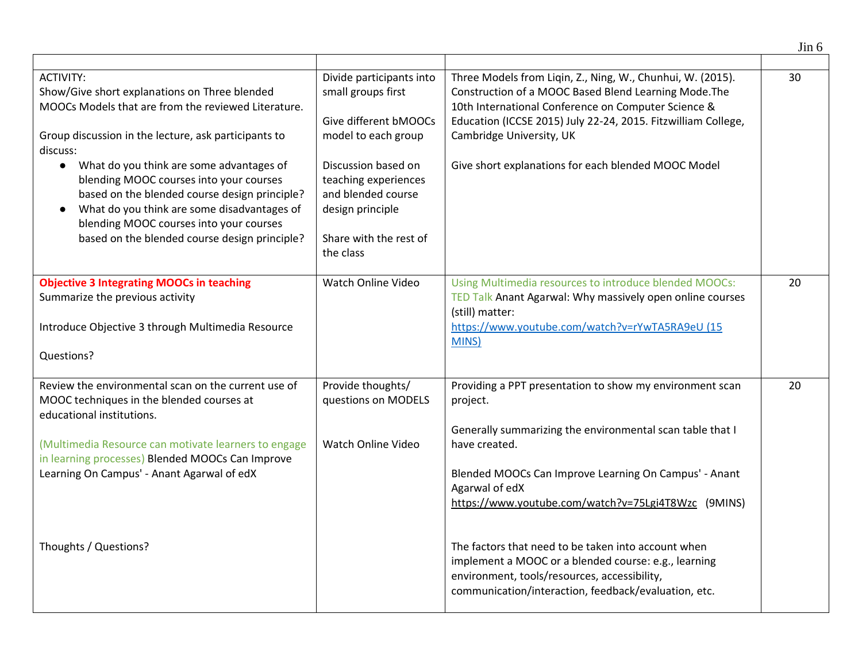|                                                                                                                                                                                                                                                                                                                                                                                                                                                                                              |                                                                                                                                                                                                                                |                                                                                                                                                                                                                                                                                                                                                                                                                                                                                                             | $\text{J}$ in 6 |
|----------------------------------------------------------------------------------------------------------------------------------------------------------------------------------------------------------------------------------------------------------------------------------------------------------------------------------------------------------------------------------------------------------------------------------------------------------------------------------------------|--------------------------------------------------------------------------------------------------------------------------------------------------------------------------------------------------------------------------------|-------------------------------------------------------------------------------------------------------------------------------------------------------------------------------------------------------------------------------------------------------------------------------------------------------------------------------------------------------------------------------------------------------------------------------------------------------------------------------------------------------------|-----------------|
| <b>ACTIVITY:</b><br>Show/Give short explanations on Three blended<br>MOOCs Models that are from the reviewed Literature.<br>Group discussion in the lecture, ask participants to<br>discuss:<br>What do you think are some advantages of<br>$\bullet$<br>blending MOOC courses into your courses<br>based on the blended course design principle?<br>What do you think are some disadvantages of<br>blending MOOC courses into your courses<br>based on the blended course design principle? | Divide participants into<br>small groups first<br>Give different bMOOCs<br>model to each group<br>Discussion based on<br>teaching experiences<br>and blended course<br>design principle<br>Share with the rest of<br>the class | Three Models from Liqin, Z., Ning, W., Chunhui, W. (2015).<br>Construction of a MOOC Based Blend Learning Mode. The<br>10th International Conference on Computer Science &<br>Education (ICCSE 2015) July 22-24, 2015. Fitzwilliam College,<br>Cambridge University, UK<br>Give short explanations for each blended MOOC Model                                                                                                                                                                              | 30              |
| <b>Objective 3 Integrating MOOCs in teaching</b><br>Summarize the previous activity<br>Introduce Objective 3 through Multimedia Resource<br>Questions?                                                                                                                                                                                                                                                                                                                                       | Watch Online Video                                                                                                                                                                                                             | Using Multimedia resources to introduce blended MOOCs:<br>TED Talk Anant Agarwal: Why massively open online courses<br>(still) matter:<br>https://www.youtube.com/watch?v=rYwTA5RA9eU (15<br>MINS)                                                                                                                                                                                                                                                                                                          | 20              |
| Review the environmental scan on the current use of<br>MOOC techniques in the blended courses at<br>educational institutions.<br>(Multimedia Resource can motivate learners to engage<br>in learning processes) Blended MOOCs Can Improve<br>Learning On Campus' - Anant Agarwal of edX<br>Thoughts / Questions?                                                                                                                                                                             | Provide thoughts/<br>questions on MODELS<br>Watch Online Video                                                                                                                                                                 | Providing a PPT presentation to show my environment scan<br>project.<br>Generally summarizing the environmental scan table that I<br>have created.<br>Blended MOOCs Can Improve Learning On Campus' - Anant<br>Agarwal of edX<br>https://www.youtube.com/watch?v=75Lgi4T8Wzc (9MINS)<br>The factors that need to be taken into account when<br>implement a MOOC or a blended course: e.g., learning<br>environment, tools/resources, accessibility,<br>communication/interaction, feedback/evaluation, etc. | 20              |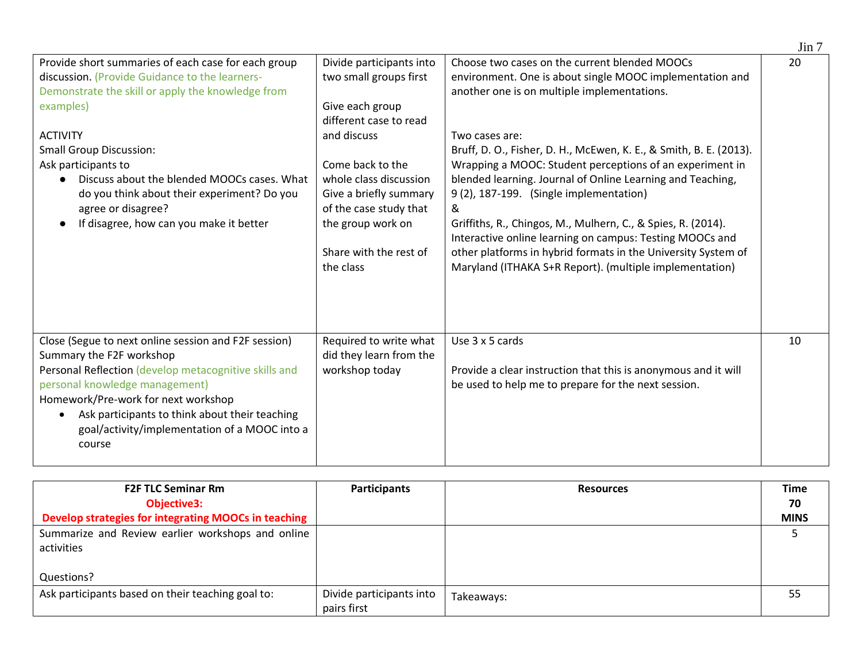| Provide short summaries of each case for each group<br>discussion. (Provide Guidance to the learners-<br>Demonstrate the skill or apply the knowledge from<br>examples)<br><b>ACTIVITY</b><br><b>Small Group Discussion:</b><br>Ask participants to<br>Discuss about the blended MOOCs cases. What<br>do you think about their experiment? Do you<br>agree or disagree?<br>If disagree, how can you make it better<br>$\bullet$ | Divide participants into<br>two small groups first<br>Give each group<br>different case to read<br>and discuss<br>Come back to the<br>whole class discussion<br>Give a briefly summary<br>of the case study that<br>the group work on<br>Share with the rest of<br>the class | Choose two cases on the current blended MOOCs<br>environment. One is about single MOOC implementation and<br>another one is on multiple implementations.<br>Two cases are:<br>Bruff, D. O., Fisher, D. H., McEwen, K. E., & Smith, B. E. (2013).<br>Wrapping a MOOC: Student perceptions of an experiment in<br>blended learning. Journal of Online Learning and Teaching,<br>9(2), 187-199. (Single implementation)<br>&<br>Griffiths, R., Chingos, M., Mulhern, C., & Spies, R. (2014).<br>Interactive online learning on campus: Testing MOOCs and<br>other platforms in hybrid formats in the University System of<br>Maryland (ITHAKA S+R Report). (multiple implementation) | 20 |
|---------------------------------------------------------------------------------------------------------------------------------------------------------------------------------------------------------------------------------------------------------------------------------------------------------------------------------------------------------------------------------------------------------------------------------|------------------------------------------------------------------------------------------------------------------------------------------------------------------------------------------------------------------------------------------------------------------------------|-----------------------------------------------------------------------------------------------------------------------------------------------------------------------------------------------------------------------------------------------------------------------------------------------------------------------------------------------------------------------------------------------------------------------------------------------------------------------------------------------------------------------------------------------------------------------------------------------------------------------------------------------------------------------------------|----|
| Close (Segue to next online session and F2F session)<br>Summary the F2F workshop<br>Personal Reflection (develop metacognitive skills and<br>personal knowledge management)<br>Homework/Pre-work for next workshop<br>Ask participants to think about their teaching<br>$\bullet$<br>goal/activity/implementation of a MOOC into a<br>course                                                                                    | Required to write what<br>did they learn from the<br>workshop today                                                                                                                                                                                                          | Use 3 x 5 cards<br>Provide a clear instruction that this is anonymous and it will<br>be used to help me to prepare for the next session.                                                                                                                                                                                                                                                                                                                                                                                                                                                                                                                                          | 10 |

| <b>F2F TLC Seminar Rm</b>                            | <b>Participants</b>      | <b>Resources</b> | <b>Time</b> |
|------------------------------------------------------|--------------------------|------------------|-------------|
| <b>Objective3:</b>                                   |                          |                  | 70          |
| Develop strategies for integrating MOOCs in teaching |                          |                  | <b>MINS</b> |
| Summarize and Review earlier workshops and online    |                          |                  |             |
| activities                                           |                          |                  |             |
|                                                      |                          |                  |             |
| Questions?                                           |                          |                  |             |
| Ask participants based on their teaching goal to:    | Divide participants into | Takeaways:       | 55          |
|                                                      | pairs first              |                  |             |